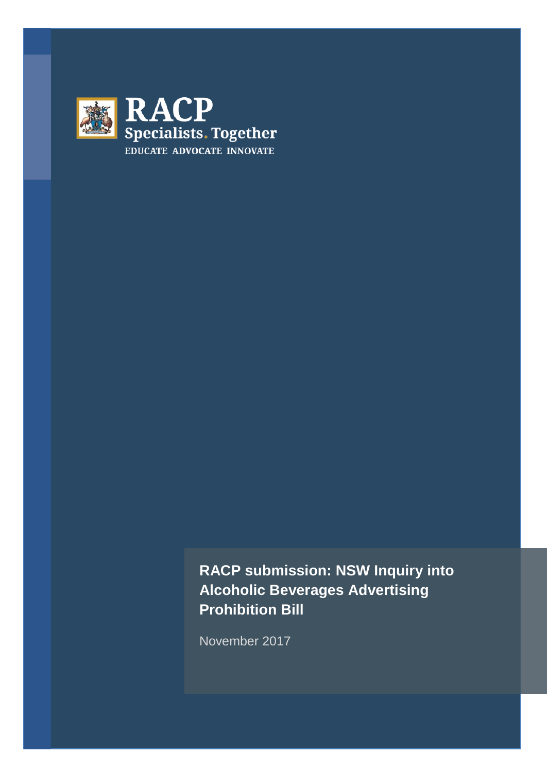

**RACP submission: NSW Inquiry into Alcoholic Beverages Advertising Prohibition Bill**

November 2017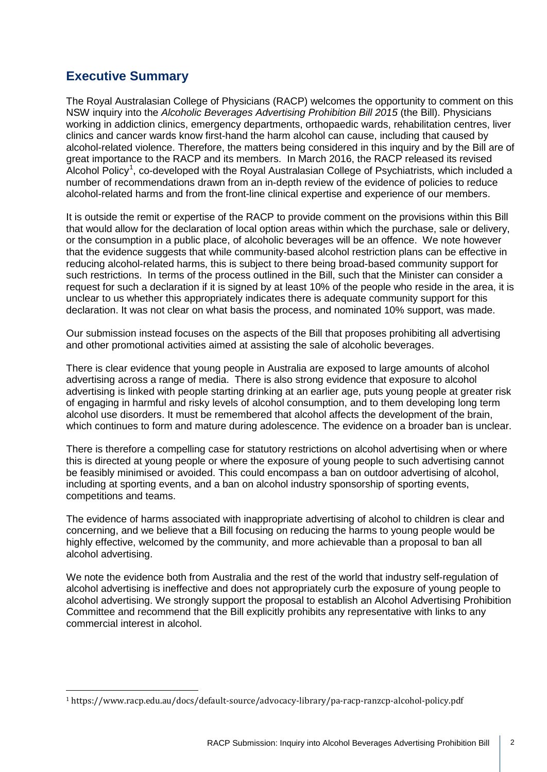# **Executive Summary**

The Royal Australasian College of Physicians (RACP) welcomes the opportunity to comment on this NSW inquiry into the *Alcoholic Beverages Advertising Prohibition Bill 2015* (the Bill). Physicians working in addiction clinics, emergency departments, orthopaedic wards, rehabilitation centres, liver clinics and cancer wards know first-hand the harm alcohol can cause, including that caused by alcohol-related violence. Therefore, the matters being considered in this inquiry and by the Bill are of great importance to the RACP and its members. In March 2016, the RACP released its revised Alcohol Policy<sup>[1](#page-1-0)</sup>, co-developed with the Royal Australasian College of Psychiatrists, which included a number of recommendations drawn from an in-depth review of the evidence of policies to reduce alcohol-related harms and from the front-line clinical expertise and experience of our members.

It is outside the remit or expertise of the RACP to provide comment on the provisions within this Bill that would allow for the declaration of local option areas within which the purchase, sale or delivery, or the consumption in a public place, of alcoholic beverages will be an offence. We note however that the evidence suggests that while community-based alcohol restriction plans can be effective in reducing alcohol-related harms, this is subject to there being broad-based community support for such restrictions. In terms of the process outlined in the Bill, such that the Minister can consider a request for such a declaration if it is signed by at least 10% of the people who reside in the area, it is unclear to us whether this appropriately indicates there is adequate community support for this declaration. It was not clear on what basis the process, and nominated 10% support, was made.

Our submission instead focuses on the aspects of the Bill that proposes prohibiting all advertising and other promotional activities aimed at assisting the sale of alcoholic beverages.

There is clear evidence that young people in Australia are exposed to large amounts of alcohol advertising across a range of media. There is also strong evidence that exposure to alcohol advertising is linked with people starting drinking at an earlier age, puts young people at greater risk of engaging in harmful and risky levels of alcohol consumption, and to them developing long term alcohol use disorders. It must be remembered that alcohol affects the development of the brain, which continues to form and mature during adolescence. The evidence on a broader ban is unclear.

There is therefore a compelling case for statutory restrictions on alcohol advertising when or where this is directed at young people or where the exposure of young people to such advertising cannot be feasibly minimised or avoided. This could encompass a ban on outdoor advertising of alcohol, including at sporting events, and a ban on alcohol industry sponsorship of sporting events, competitions and teams.

The evidence of harms associated with inappropriate advertising of alcohol to children is clear and concerning, and we believe that a Bill focusing on reducing the harms to young people would be highly effective, welcomed by the community, and more achievable than a proposal to ban all alcohol advertising.

We note the evidence both from Australia and the rest of the world that industry self-regulation of alcohol advertising is ineffective and does not appropriately curb the exposure of young people to alcohol advertising. We strongly support the proposal to establish an Alcohol Advertising Prohibition Committee and recommend that the Bill explicitly prohibits any representative with links to any commercial interest in alcohol.

<span id="page-1-0"></span><sup>1</sup> https://www.racp.edu.au/docs/default-source/advocacy-library/pa-racp-ranzcp-alcohol-policy.pdf i,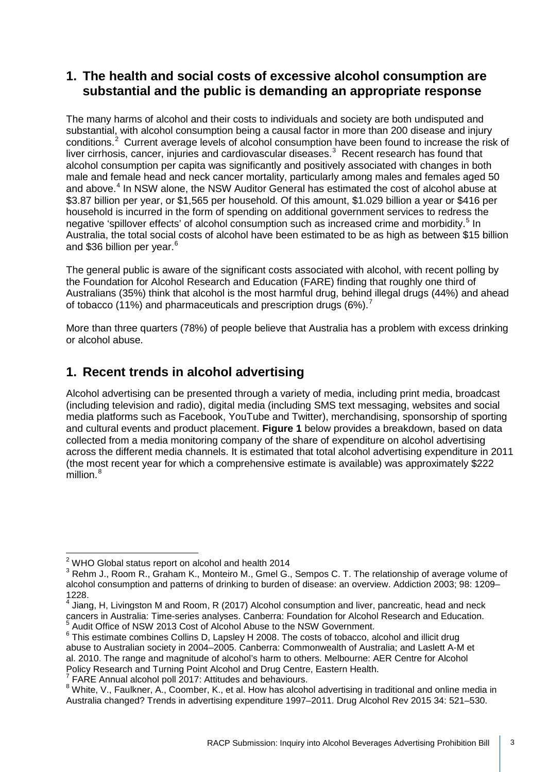### **1. The health and social costs of excessive alcohol consumption are substantial and the public is demanding an appropriate response**

The many harms of alcohol and their costs to individuals and society are both undisputed and substantial, with alcohol consumption being a causal factor in more than 200 disease and injury conditions.<sup>[2](#page-2-0)</sup> Current average levels of alcohol consumption have been found to increase the risk of liver cirrhosis, cancer, injuries and cardiovascular diseases. $3$  Recent research has found that alcohol consumption per capita was significantly and positively associated with changes in both male and female head and neck cancer mortality, particularly among males and females aged 50 and above.<sup>[4](#page-2-2)</sup> In NSW alone, the NSW Auditor General has estimated the cost of alcohol abuse at \$3.87 billion per year, or \$1,565 per household. Of this amount, \$1.029 billion a year or \$416 per household is incurred in the form of spending on additional government services to redress the negative 'spillover effects' of alcohol consumption such as increased crime and morbidity.<sup>[5](#page-2-3)</sup> In Australia, the total social costs of alcohol have been estimated to be as high as between \$15 billion and \$3[6](#page-2-4) billion per vear.<sup>6</sup>

The general public is aware of the significant costs associated with alcohol, with recent polling by the Foundation for Alcohol Research and Education (FARE) finding that roughly one third of Australians (35%) think that alcohol is the most harmful drug, behind illegal drugs (44%) and ahead of tobacco (11%) and pharmaceuticals and prescription drugs (6%).[7](#page-2-5)

More than three quarters (78%) of people believe that Australia has a problem with excess drinking or alcohol abuse.

# **1. Recent trends in alcohol advertising**

Alcohol advertising can be presented through a variety of media, including print media, broadcast (including television and radio), digital media (including SMS text messaging, websites and social media platforms such as Facebook, YouTube and Twitter), merchandising, sponsorship of sporting and cultural events and product placement. **Figure 1** below provides a breakdown, based on data collected from a media monitoring company of the share of expenditure on alcohol advertising across the different media channels. It is estimated that total alcohol advertising expenditure in 2011 (the most recent year for which a comprehensive estimate is available) was approximately \$222 million.<sup>[8](#page-2-6)</sup>

 $2$  WHO Global status report on alcohol and health 2014  $\frac{1}{2}$ 

<span id="page-2-1"></span><span id="page-2-0"></span><sup>&</sup>lt;sup>3</sup> Rehm J., Room R., Graham K., Monteiro M., Gmel G., Sempos C. T. The relationship of average volume of alcohol consumption and patterns of drinking to burden of disease: an overview. Addiction 2003; 98: 1209– 1228.

<span id="page-2-2"></span> $<sup>4</sup>$  Jiang, H, Livingston M and Room, R (2017) Alcohol consumption and liver, pancreatic, head and neck</sup> cancers in Australia: Time-series analyses. Canberra: Foundation for Alcohol Research and Education.<br><sup>5</sup> Audit Office of NSW 2013 Cost of Alcohol Abuse to the NSW Government.

<span id="page-2-4"></span><span id="page-2-3"></span> $6$  This estimate combines Collins D, Lapsley H 2008. The costs of tobacco, alcohol and illicit drug abuse to Australian society in 2004–2005. Canberra: Commonwealth of Australia; and Laslett A-M et al. 2010. The range and magnitude of alcohol's harm to others. Melbourne: AER Centre for Alcohol Policy Research and Turning Point Alcohol and Drug Centre, Eastern Health.

 $7$  FARE Annual alcohol poll 2017: Attitudes and behaviours.

<span id="page-2-6"></span><span id="page-2-5"></span><sup>8</sup> White, V., Faulkner, A., Coomber, K., et al. How has alcohol advertising in traditional and online media in Australia changed? Trends in advertising expenditure 1997–2011. Drug Alcohol Rev 2015 34: 521–530.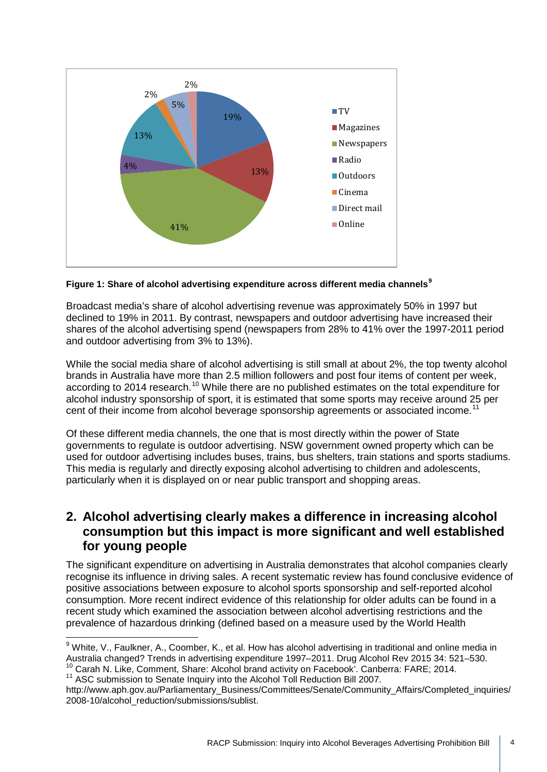

**Figure 1: Share of alcohol advertising expenditure across different media channels[9](#page-3-0)**

Broadcast media's share of alcohol advertising revenue was approximately 50% in 1997 but declined to 19% in 2011. By contrast, newspapers and outdoor advertising have increased their shares of the alcohol advertising spend (newspapers from 28% to 41% over the 1997-2011 period and outdoor advertising from 3% to 13%).

While the social media share of alcohol advertising is still small at about 2%, the top twenty alcohol brands in Australia have more than 2.5 million followers and post four items of content per week, according to 2014 research.<sup>[10](#page-3-1)</sup> While there are no published estimates on the total expenditure for alcohol industry sponsorship of sport, it is estimated that some sports may receive around 25 per cent of their income from alcohol beverage sponsorship agreements or associated income.<sup>[11](#page-3-2)</sup>

Of these different media channels, the one that is most directly within the power of State governments to regulate is outdoor advertising. NSW government owned property which can be used for outdoor advertising includes buses, trains, bus shelters, train stations and sports stadiums. This media is regularly and directly exposing alcohol advertising to children and adolescents, particularly when it is displayed on or near public transport and shopping areas.

### **2. Alcohol advertising clearly makes a difference in increasing alcohol consumption but this impact is more significant and well established for young people**

The significant expenditure on advertising in Australia demonstrates that alcohol companies clearly recognise its influence in driving sales. A recent systematic review has found conclusive evidence of positive associations between exposure to alcohol sports sponsorship and self-reported alcohol consumption. More recent indirect evidence of this relationship for older adults can be found in a recent study which examined the association between alcohol advertising restrictions and the prevalence of hazardous drinking (defined based on a measure used by the World Health

<span id="page-3-0"></span><sup>&</sup>lt;sup>9</sup> White, V., Faulkner, A., Coomber, K., et al. How has alcohol advertising in traditional and online media in Australia changed? Trends in advertising expenditure 1997–2011. Drug Alcohol Rev 2015 34: 521–530.<br><sup>10</sup> Carah N. Like, Comment, Share: Alcohol brand activity on Facebook'. Canberra: FARE; 2014.  $\frac{1}{c}$ 

<span id="page-3-2"></span><span id="page-3-1"></span><sup>&</sup>lt;sup>11</sup> ASC submission to Senate Inquiry into the Alcohol Toll Reduction Bill 2007.

http://www.aph.gov.au/Parliamentary\_Business/Committees/Senate/Community\_Affairs/Completed\_inquiries/ 2008-10/alcohol\_reduction/submissions/sublist.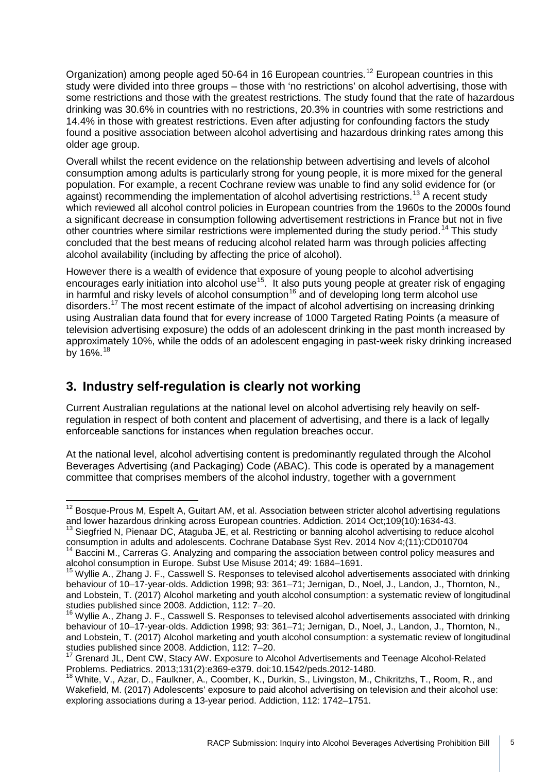Organization) among people aged 50-64 in 16 European countries.<sup>[12](#page-4-0)</sup> European countries in this study were divided into three groups – those with 'no restrictions' on alcohol advertising, those with some restrictions and those with the greatest restrictions. The study found that the rate of hazardous drinking was 30.6% in countries with no restrictions, 20.3% in countries with some restrictions and 14.4% in those with greatest restrictions. Even after adjusting for confounding factors the study found a positive association between alcohol advertising and hazardous drinking rates among this older age group.

Overall whilst the recent evidence on the relationship between advertising and levels of alcohol consumption among adults is particularly strong for young people, it is more mixed for the general population. For example, a recent Cochrane review was unable to find any solid evidence for (or against) recommending the implementation of alcohol advertising restrictions.<sup>[13](#page-4-1)</sup> A recent study which reviewed all alcohol control policies in European countries from the 1960s to the 2000s found a significant decrease in consumption following advertisement restrictions in France but not in five other countries where similar restrictions were implemented during the study period.<sup>[14](#page-4-2)</sup> This study concluded that the best means of reducing alcohol related harm was through policies affecting alcohol availability (including by affecting the price of alcohol).

However there is a wealth of evidence that exposure of young people to alcohol advertising encourages early initiation into alcohol use<sup>15</sup>. It also puts young people at greater risk of engaging in harmful and risky levels of alcohol consumption<sup>[16](#page-4-4)</sup> and of developing long term alcohol use disorders.[17](#page-4-5) The most recent estimate of the impact of alcohol advertising on increasing drinking using Australian data found that for every increase of 1000 Targeted Rating Points (a measure of television advertising exposure) the odds of an adolescent drinking in the past month increased by approximately 10%, while the odds of an adolescent engaging in past-week risky drinking increased by 16%.<sup>[18](#page-4-6)</sup>

# **3. Industry self-regulation is clearly not working**

Current Australian regulations at the national level on alcohol advertising rely heavily on selfregulation in respect of both content and placement of advertising, and there is a lack of legally enforceable sanctions for instances when regulation breaches occur.

At the national level, alcohol advertising content is predominantly regulated through the Alcohol Beverages Advertising (and Packaging) Code (ABAC). This code is operated by a management committee that comprises members of the alcohol industry, together with a government

<span id="page-4-1"></span><sup>13</sup> Siegfried N, Pienaar DC, Ataguba JE, et al. Restricting or banning alcohol advertising to reduce alcohol consumption in adults and adolescents. Cochrane Database Syst Rev. 2014 Nov 4;(11):CD010704

<span id="page-4-0"></span><sup>&</sup>lt;sup>12</sup> Bosque-Prous M, Espelt A, Guitart AM, et al. Association between stricter alcohol advertising regulations and lower hazardous drinking across European countries. Addiction. 2014 Oct;109(10):1634-43.  $\frac{1}{1}$ 

<span id="page-4-2"></span><sup>&</sup>lt;sup>14</sup> Baccini M., Carreras G. Analyzing and comparing the association between control policy measures and alcohol consumption in Europe. Subst Use Misuse 2014; 49: 1684–1691.

<span id="page-4-3"></span><sup>15</sup> Wyllie A., Zhang J. F., Casswell S. Responses to televised alcohol advertisements associated with drinking behaviour of 10–17-year-olds. Addiction 1998; 93: 361–71; Jernigan, D., Noel, J., Landon, J., Thornton, N., and Lobstein, T. (2017) Alcohol marketing and youth alcohol consumption: a systematic review of longitudinal studies published since 2008. Addiction, 112: 7–20.

<span id="page-4-4"></span> $16$  Wyllie A., Zhang J. F., Casswell S. Responses to televised alcohol advertisements associated with drinking behaviour of 10–17-year-olds. Addiction 1998; 93: 361–71; Jernigan, D., Noel, J., Landon, J., Thornton, N., and Lobstein, T. (2017) Alcohol marketing and youth alcohol consumption: a systematic review of longitudinal studies published since 2008. Addiction, 112: 7–20.

<span id="page-4-5"></span><sup>&</sup>lt;sup>17</sup> Grenard JL, Dent CW, Stacy AW. Exposure to Alcohol Advertisements and Teenage Alcohol-Related Problems. Pediatrics. 2013;131(2):e369-e379. doi:10.1542/peds.2012-1480.

<span id="page-4-6"></span><sup>&</sup>lt;sup>18</sup> White, V., Azar, D., Faulkner, A., Coomber, K., Durkin, S., Livingston, M., Chikritzhs, T., Room, R., and Wakefield, M. (2017) Adolescents' exposure to paid alcohol advertising on television and their alcohol use: exploring associations during a 13-year period. Addiction, 112: 1742–1751.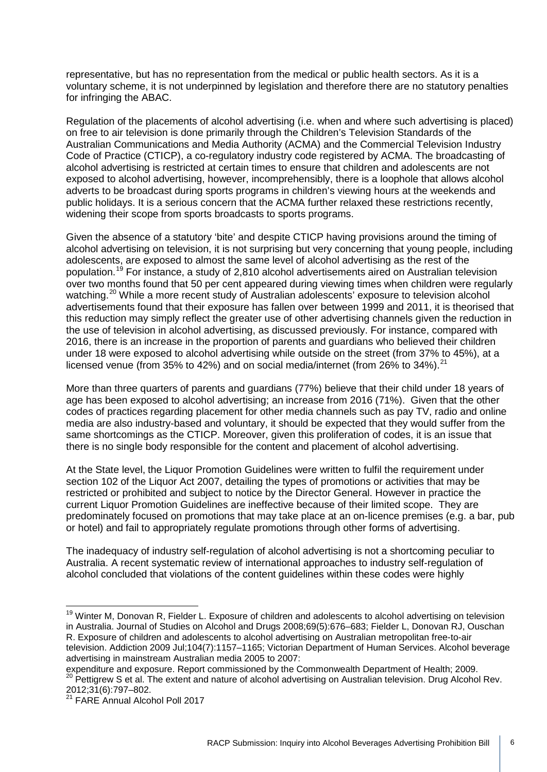representative, but has no representation from the medical or public health sectors. As it is a voluntary scheme, it is not underpinned by legislation and therefore there are no statutory penalties for infringing the ABAC.

Regulation of the placements of alcohol advertising (i.e. when and where such advertising is placed) on free to air television is done primarily through the Children's Television Standards of the Australian Communications and Media Authority (ACMA) and the Commercial Television Industry Code of Practice (CTICP), a co-regulatory industry code registered by ACMA. The broadcasting of alcohol advertising is restricted at certain times to ensure that children and adolescents are not exposed to alcohol advertising, however, incomprehensibly, there is a loophole that allows alcohol adverts to be broadcast during sports programs in children's viewing hours at the weekends and public holidays. It is a serious concern that the ACMA further relaxed these restrictions recently, widening their scope from sports broadcasts to sports programs.

Given the absence of a statutory 'bite' and despite CTICP having provisions around the timing of alcohol advertising on television, it is not surprising but very concerning that young people, including adolescents, are exposed to almost the same level of alcohol advertising as the rest of the population.[19](#page-5-0) For instance, a study of 2,810 alcohol advertisements aired on Australian television over two months found that 50 per cent appeared during viewing times when children were regularly watching.<sup>[20](#page-5-1)</sup> While a more recent study of Australian adolescents' exposure to television alcohol advertisements found that their exposure has fallen over between 1999 and 2011, it is theorised that this reduction may simply reflect the greater use of other advertising channels given the reduction in the use of television in alcohol advertising, as discussed previously. For instance, compared with 2016, there is an increase in the proportion of parents and guardians who believed their children under 18 were exposed to alcohol advertising while outside on the street (from 37% to 45%), at a licensed venue (from 35% to 42%) and on social media/internet (from 26% to 34%). $^{21}$  $^{21}$  $^{21}$ 

More than three quarters of parents and guardians (77%) believe that their child under 18 years of age has been exposed to alcohol advertising; an increase from 2016 (71%). Given that the other codes of practices regarding placement for other media channels such as pay TV, radio and online media are also industry-based and voluntary, it should be expected that they would suffer from the same shortcomings as the CTICP. Moreover, given this proliferation of codes, it is an issue that there is no single body responsible for the content and placement of alcohol advertising.

At the State level, the Liquor Promotion Guidelines were written to fulfil the requirement under section 102 of the Liquor Act 2007, detailing the types of promotions or activities that may be restricted or prohibited and subject to notice by the Director General. However in practice the current Liquor Promotion Guidelines are ineffective because of their limited scope. They are predominately focused on promotions that may take place at an on-licence premises (e.g. a bar, pub or hotel) and fail to appropriately regulate promotions through other forms of advertising.

The inadequacy of industry self-regulation of alcohol advertising is not a shortcoming peculiar to Australia. A recent systematic review of international approaches to industry self-regulation of alcohol concluded that violations of the content guidelines within these codes were highly

<span id="page-5-0"></span><sup>&</sup>lt;sup>19</sup> Winter M, Donovan R, Fielder L. Exposure of children and adolescents to alcohol advertising on television in Australia. Journal of Studies on Alcohol and Drugs 2008;69(5):676–683; Fielder L, Donovan RJ, Ouschan R. Exposure of children and adolescents to alcohol advertising on Australian metropolitan free-to-air television. Addiction 2009 Jul;104(7):1157–1165; Victorian Department of Human Services. Alcohol beverage advertising in mainstream Australian media 2005 to 2007:  $\frac{1}{1}$ 

<span id="page-5-1"></span>expenditure and exposure. Report commissioned by the Commonwealth Department of Health; 2009. <sup>20</sup> Pettigrew S et al. The extent and nature of alcohol advertising on Australian television. Drug Alcohol Rev. 2012;31(6):797–802.

<span id="page-5-2"></span><sup>&</sup>lt;sup>21</sup> FARE Annual Alcohol Poll 2017